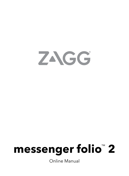

# **messenger folio**™  **2**

Online Manual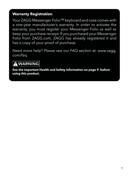#### **Warranty Registration**

Your ZAGG Messenger Folio<sup>™</sup> keyboard and case comes with a one-year manufacturer's warranty. In order to activate the warranty, you must register your Messenger Folio as well as keep your purchase receipt. If you purchased your Messenger Folio from ZAGG.com, ZAGG has already registered it and has a copy of your proof of purchase.

Need more help? Please see our FAQ section at: [www.zagg.](http://www.zagg.com/faq) [com/faq](http://www.zagg.com/faq)

## **A WARNING**

**See the important Health and Safety information on page 9 before using this product.**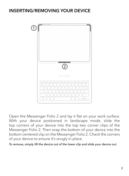#### INSERTING/REMOVING YOUR DEVICE



Open the Messenger Folio 2 and lay it flat on your work surface. With your device positioned in landscape mode, slide the top corners of your device into the top two corner clips of the Messenger Folio 2. Then snap the bottom of your device into the bottom centered clip on the Messenger Folio 2. Check the corners of your device to ensure it's snugly in place.

*To remove, simply lift the device out of the lower clip and slide your device out.*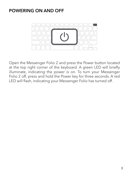#### POWERING ON AND OFF



Open the Messenger Folio 2 and press the Power button located at the top right corner of the keyboard. A green LED will briefly<br>... illuminate, indicating the power is on. To turn your Messenger Folio 2 off, press and hold the Power key for three seconds. A red LED will flash, indicating your Messenger Folio has turned off.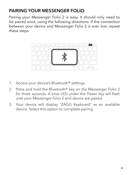## PAIRING YOUR MESSENGER FOLIO

Pairing your Messenger Folio 2 is easy. It should only need to be paired once, using the following directions. If the connection between your device and Messenger Folio 2 is ever lost, repeat these steps.



- 1. Access your device's Bluetooth® settings.
- 2. Press and hold the Bluetooth® key on the Messenger Folio 2 for three seconds. A blue LED under the Power key will flash until your Messenger Folio 2 and device are paired.
- 3. Your device will display "ZAGG Keyboard" as an available device. Select this option to complete pairing.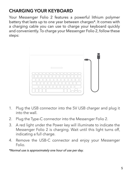## CHARGING YOUR KEYBOARD

Your Messenger Folio 2 features a powerful lithium polymer battery that lasts up to one year between charges\*. It comes with a charging cable you can use to charge your keyboard quickly and conveniently. To charge your Messenger Folio 2, follow these steps:



- 1. Plug the USB connector into the 5V USB charger and plug it into the wall.
- 2. Plug the Type-C connector into the Messenger Folio 2.
- $\frac{3}{10}$ . A red light under the Power key will illuminate to indicate the Messenger Folio 2 is charging. Wait until this light turns off, indicating a full charge.
- 4. Remove the USB-C connector and enjoy your Messenger Folio.

*\*Normal use is approximately one hour of use per day.*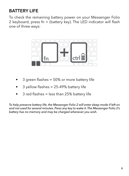## BATTERY LIFE

To check the remaining battery power on your Messenger Folio 2 keyboard, press fn + (battery key). The LED indicator will flash one of three ways:



- 3 green flashes = 50% or more battery life
- $3$  yellow flashes = 25-49% battery life
- 3 red flashes = less than 25% battery life

*To help preserve battery life, the Messenger Folio 2 will enter sleep mode if left on and not used for several minutes. Press any key to wake it. The Messenger Folio 2's battery has no memory and may be charged whenever you wish.*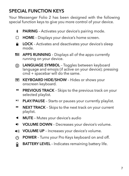## SPECIAL FUNCTION KEYS

Your Messenger Folio 2 has been designed with the following special function keys to give you more control of your device.

- $\ast$ PAIRING – Activates your device's pairing mode.
- П HOME – Displays your device's home screen.
- ◒ LOCK - Activates and deactivates your device's sleep mode.
- 588 APPS RUNNING – Displays all of the apps currently running on your device.
- LANGUAGE SYMBOL Toggles between keyboard ∰ language and emojis (if active on your device); pressing cmd + spacebar will do the same.
- **EXEYBOARD HIDE/SHOW** Hides or shows your onscreen keyboard.
- $\blacktriangleleft$ **PREVIOUS TRACK** - Skips to the previous track on your selected playlist.
- $\blacktriangleright$ II PLAY/PAUSE - Starts or pauses your currently playlist.
- ₩. **NEXT TRACK** - Skips to the next track on your current playlist.
- MUTE Mutes your device's audio ◀
- $\blacktriangleleft$ VOLUME DOWN – Decreases your device's volume.
- $\blacktriangleleft$ VOLUME UP – Increases your device's volume.
- POWER Turns your Pro Keys keyboard on and off.  $\left(\mathsf{I}\right)$
- **BATTERY LEVEL** Indicates remaining battery life. ⋒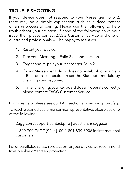## TROUBLE SHOOTING

If your device does not respond to your Messenger Folio 2, there may be a simple explanation such as a dead battery or an unsuccessful pairing. Please use the following to help troubleshoot your situation. If none of the following solve your issue, then please contact ZAGG Customer Service and one of our trained professionals will be happy to assist you.

- 1. Restart your device.
- 2. Turn your Messenger Folio 2 off and back on.
- 3. Forget and re-pair your Messenger Folio 2.
- 4. If your Messenger Folio 2 does not establish or maintain a Bluetooth connection, reset the Bluetooth module by charging your keyboard.
- 5. If, after charging, your keyboard doesn't operate correctly, please contact ZAGG Customer Service.

For more help, please see our FAQ section at [www.zagg.com/faq](http://www.zagg.com/faq).

To reach a trained customer service representative, please use one of the following:

[Zagg.com/support/contact.php](http://Zagg.com/support/contact.php) | [questions@zagg.com](mailto:questions%40zagg.com?subject=)

1-800-700-ZAGG [9244] | 00-1-801-839-3906 for international customers

For unparalleled scratch protection for your device, we recommend InvisibleShield® screen protection.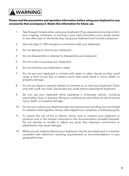## **A WARNING**

#### **Please read the precautions and operation information before using your keyboard or any accessories that accompany it. Retain this information for future use.**

- 1. Take frequent breaks when using your keyboard. If you experience any discomfort, pain, tingling, numbness, or burning in your neck, shoulders, arms, wrists, hands, or any other part of the body, stop using your keyboard and consult a physician.
- 2. Use only Type-C USB chargers in connection with your keyboard.
- 3. Do not attempt to service your keyboard.
- 4. Do not disassemble or attempt to disassemble your keyboard.
- 5. Do not crush or puncture your keyboard.
- 6. Do not immerse your keyboard in water.
- 7. Do not put your keyboard in contact with water or other liquids as they could cause a short circuit, fire, or electric shock that could result in injury, death, or property damage.
- 8. Do not use liquid or aerosol cleaners or solvents on or near your keyboard. Clean only with a soft, dry cloth. Disconnect any cords before cleaning the keyboard.
- 9. Do not use your keyboard while operating a motorized vehicle, including automobile, boat, or airplane. Doing so could put you and others at risk of serious injury, death, or property damage.
- 10. Do not use or place your keyboard near any heat sources including, but not limited to, radiators, heat registers, stoves, other appliances, campfires, or barbeque grills.
- 11. To reduce the risk of fire or electric shock, wire or connect your keyboard to products only in the manner instructed in the documentation included herewith. Do not attempt to modify or adjust any ports. Any improper connections or adjustments may cause damage.
- 12. When you are ready to discard your keyboard, recycle your keyboard in a manner consistent with electronic recycling requirements or recommendations in your geographic area.